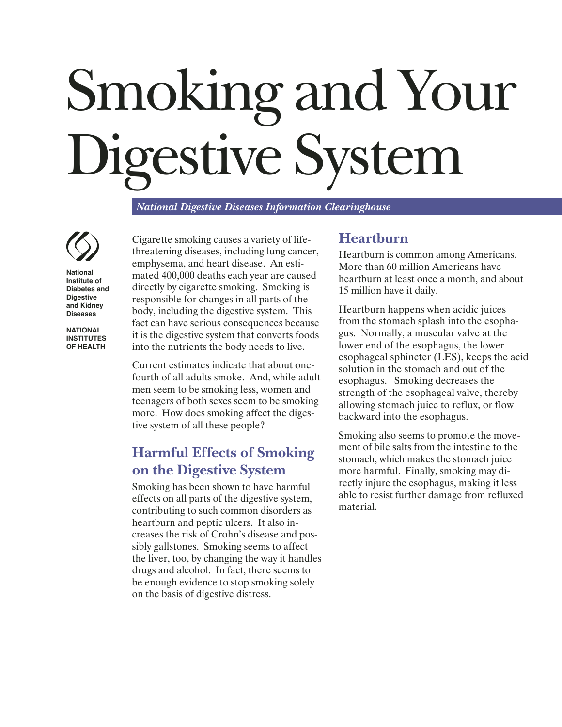# Smoking and Your Digestive System

*National Digestive Diseases Information Clearinghouse*



**National Institute of Diabetes and Digestive and Kidney Diseases**

**NATIONAL INSTITUTES OF HEALTH**

Cigarette smoking causes a variety of lifethreatening diseases, including lung cancer, emphysema, and heart disease. An estimated 400,000 deaths each year are caused directly by cigarette smoking. Smoking is responsible for changes in all parts of the body, including the digestive system. This fact can have serious consequences because it is the digestive system that converts foods into the nutrients the body needs to live.

Current estimates indicate that about onefourth of all adults smoke. And, while adult men seem to be smoking less, women and teenagers of both sexes seem to be smoking more. How does smoking affect the digestive system of all these people?

# **Harmful Effects of Smoking on the Digestive System**

Smoking has been shown to have harmful effects on all parts of the digestive system, contributing to such common disorders as heartburn and peptic ulcers. It also increases the risk of Crohn's disease and possibly gallstones. Smoking seems to affect the liver, too, by changing the way it handles drugs and alcohol. In fact, there seems to be enough evidence to stop smoking solely on the basis of digestive distress.

# **Heartburn**

Heartburn is common among Americans. More than 60 million Americans have heartburn at least once a month, and about 15 million have it daily.

Heartburn happens when acidic juices from the stomach splash into the esophagus. Normally, a muscular valve at the lower end of the esophagus, the lower esophageal sphincter (LES), keeps the acid solution in the stomach and out of the esophagus. Smoking decreases the strength of the esophageal valve, thereby allowing stomach juice to reflux, or flow backward into the esophagus.

Smoking also seems to promote the movement of bile salts from the intestine to the stomach, which makes the stomach juice more harmful. Finally, smoking may directly injure the esophagus, making it less able to resist further damage from refluxed material.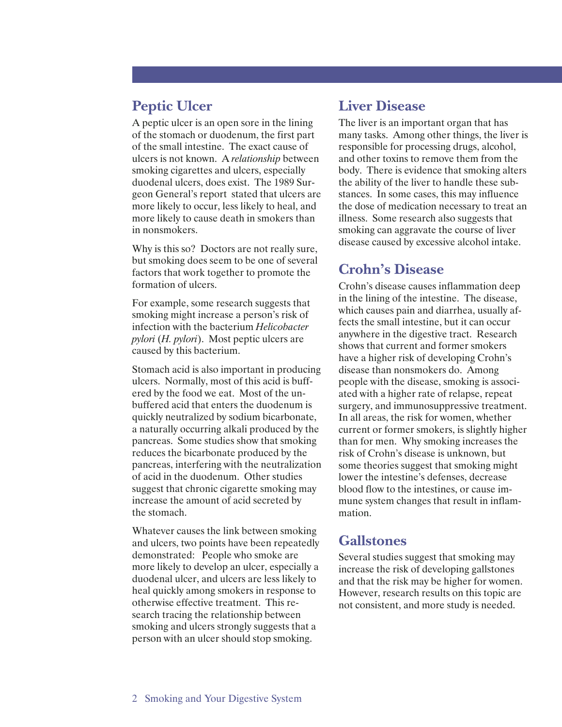## **Peptic Ulcer**

A peptic ulcer is an open sore in the lining of the stomach or duodenum, the first part of the small intestine. The exact cause of ulcers is not known. A *relationship* between smoking cigarettes and ulcers, especially duodenal ulcers, does exist. The 1989 Surgeon General's report stated that ulcers are more likely to occur, less likely to heal, and more likely to cause death in smokers than in nonsmokers.

Why is this so? Doctors are not really sure, but smoking does seem to be one of several factors that work together to promote the formation of ulcers.

For example, some research suggests that smoking might increase a person's risk of infection with the bacterium *Helicobacter pylori* (*H. pylori*). Most peptic ulcers are caused by this bacterium.

Stomach acid is also important in producing ulcers. Normally, most of this acid is buffered by the food we eat. Most of the unbuffered acid that enters the duodenum is quickly neutralized by sodium bicarbonate, a naturally occurring alkali produced by the pancreas. Some studies show that smoking reduces the bicarbonate produced by the pancreas, interfering with the neutralization of acid in the duodenum. Other studies suggest that chronic cigarette smoking may increase the amount of acid secreted by the stomach.

Whatever causes the link between smoking and ulcers, two points have been repeatedly demonstrated: People who smoke are more likely to develop an ulcer, especially a duodenal ulcer, and ulcers are less likely to heal quickly among smokers in response to otherwise effective treatment. This research tracing the relationship between smoking and ulcers strongly suggests that a person with an ulcer should stop smoking.

### **Liver Disease**

The liver is an important organ that has many tasks. Among other things, the liver is responsible for processing drugs, alcohol, and other toxins to remove them from the body. There is evidence that smoking alters the ability of the liver to handle these substances. In some cases, this may influence the dose of medication necessary to treat an illness. Some research also suggests that smoking can aggravate the course of liver disease caused by excessive alcohol intake.

# **Crohn's Disease**

Crohn's disease causes inflammation deep in the lining of the intestine. The disease, which causes pain and diarrhea, usually affects the small intestine, but it can occur anywhere in the digestive tract. Research shows that current and former smokers have a higher risk of developing Crohn's disease than nonsmokers do. Among people with the disease, smoking is associated with a higher rate of relapse, repeat surgery, and immunosuppressive treatment. In all areas, the risk for women, whether current or former smokers, is slightly higher than for men. Why smoking increases the risk of Crohn's disease is unknown, but some theories suggest that smoking might lower the intestine's defenses, decrease blood flow to the intestines, or cause immune system changes that result in inflammation.

### **Gallstones**

Several studies suggest that smoking may increase the risk of developing gallstones and that the risk may be higher for women. However, research results on this topic are not consistent, and more study is needed.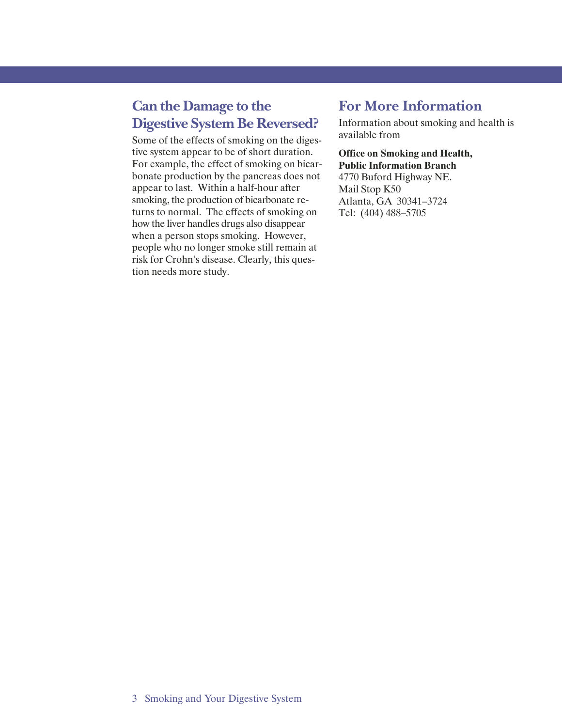# **Can the Damage to the Digestive System Be Reversed?**

Some of the effects of smoking on the digestive system appear to be of short duration. For example, the effect of smoking on bicarbonate production by the pancreas does not appear to last. Within a half-hour after smoking, the production of bicarbonate returns to normal. The effects of smoking on how the liver handles drugs also disappear when a person stops smoking. However, people who no longer smoke still remain at risk for Crohn's disease. Clearly, this question needs more study.

### **For More Information**

Information about smoking and health is available from

### **Office on Smoking and Health, Public Information Branch**

4770 Buford Highway NE. Mail Stop K50 Atlanta, GA 30341–3724 Tel: (404) 488–5705